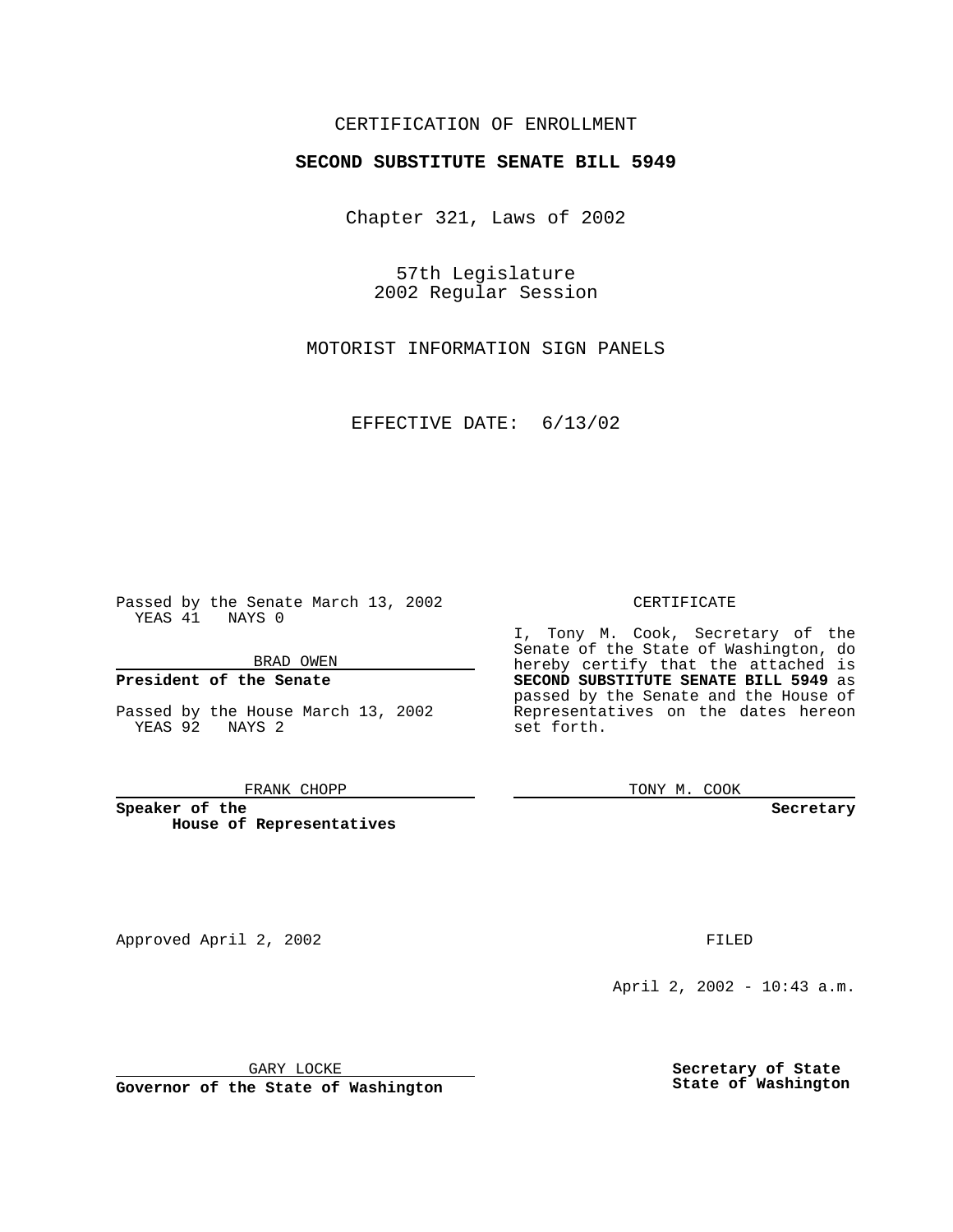## CERTIFICATION OF ENROLLMENT

# **SECOND SUBSTITUTE SENATE BILL 5949**

Chapter 321, Laws of 2002

57th Legislature 2002 Regular Session

MOTORIST INFORMATION SIGN PANELS

EFFECTIVE DATE: 6/13/02

Passed by the Senate March 13, 2002 YEAS 41 NAYS 0

BRAD OWEN

### **President of the Senate**

Passed by the House March 13, 2002 YEAS 92 NAYS 2

#### FRANK CHOPP

**Speaker of the House of Representatives** CERTIFICATE

I, Tony M. Cook, Secretary of the Senate of the State of Washington, do hereby certify that the attached is **SECOND SUBSTITUTE SENATE BILL 5949** as passed by the Senate and the House of Representatives on the dates hereon set forth.

TONY M. COOK

**Secretary**

Approved April 2, 2002 **FILED** 

April 2, 2002 - 10:43 a.m.

GARY LOCKE

**Governor of the State of Washington**

**Secretary of State State of Washington**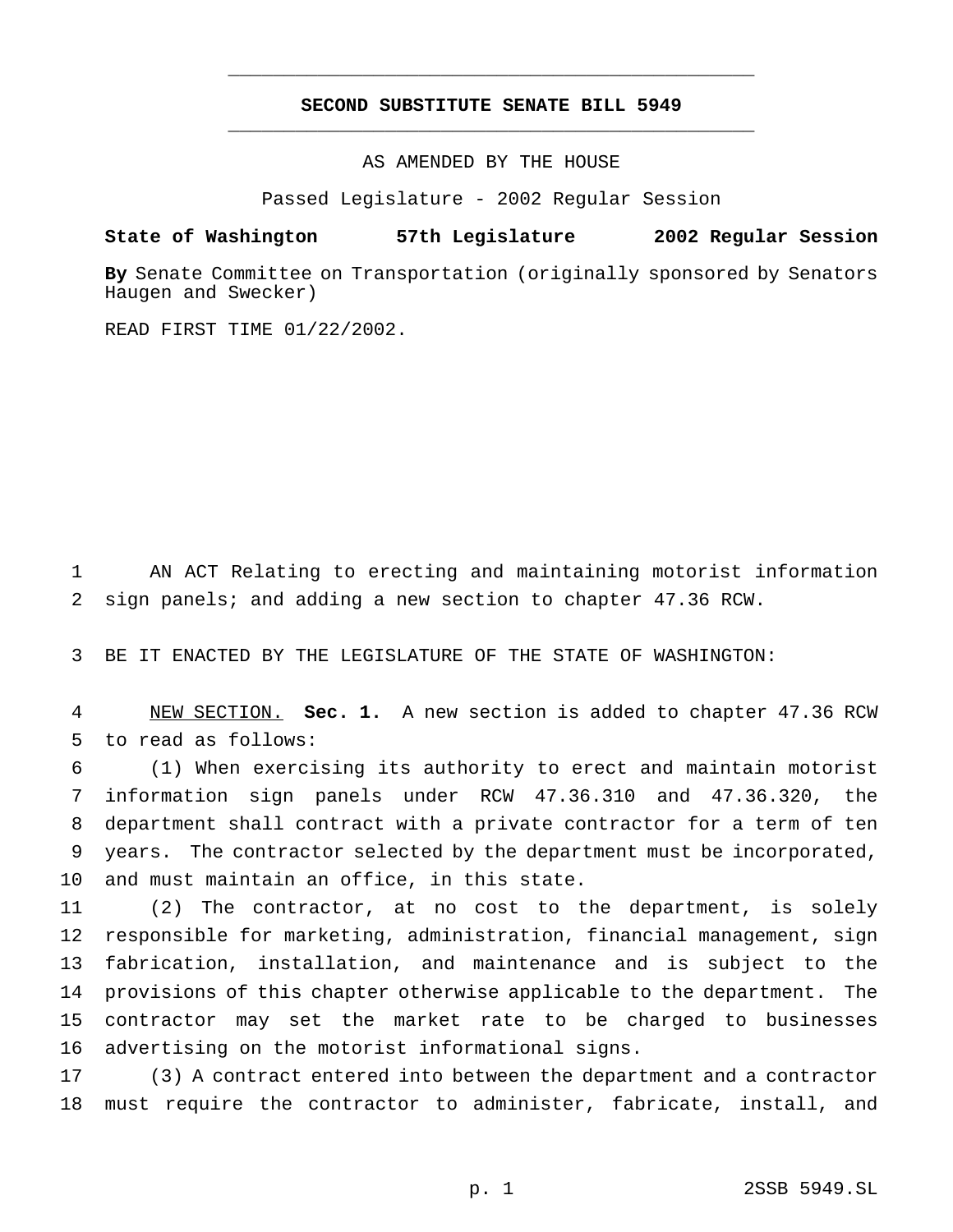## **SECOND SUBSTITUTE SENATE BILL 5949** \_\_\_\_\_\_\_\_\_\_\_\_\_\_\_\_\_\_\_\_\_\_\_\_\_\_\_\_\_\_\_\_\_\_\_\_\_\_\_\_\_\_\_\_\_\_\_

\_\_\_\_\_\_\_\_\_\_\_\_\_\_\_\_\_\_\_\_\_\_\_\_\_\_\_\_\_\_\_\_\_\_\_\_\_\_\_\_\_\_\_\_\_\_\_

AS AMENDED BY THE HOUSE

Passed Legislature - 2002 Regular Session

### **State of Washington 57th Legislature 2002 Regular Session**

**By** Senate Committee on Transportation (originally sponsored by Senators Haugen and Swecker)

READ FIRST TIME 01/22/2002.

 AN ACT Relating to erecting and maintaining motorist information sign panels; and adding a new section to chapter 47.36 RCW.

BE IT ENACTED BY THE LEGISLATURE OF THE STATE OF WASHINGTON:

 NEW SECTION. **Sec. 1.** A new section is added to chapter 47.36 RCW to read as follows:

 (1) When exercising its authority to erect and maintain motorist information sign panels under RCW 47.36.310 and 47.36.320, the department shall contract with a private contractor for a term of ten years. The contractor selected by the department must be incorporated, and must maintain an office, in this state.

 (2) The contractor, at no cost to the department, is solely responsible for marketing, administration, financial management, sign fabrication, installation, and maintenance and is subject to the provisions of this chapter otherwise applicable to the department. The contractor may set the market rate to be charged to businesses advertising on the motorist informational signs.

 (3) A contract entered into between the department and a contractor must require the contractor to administer, fabricate, install, and